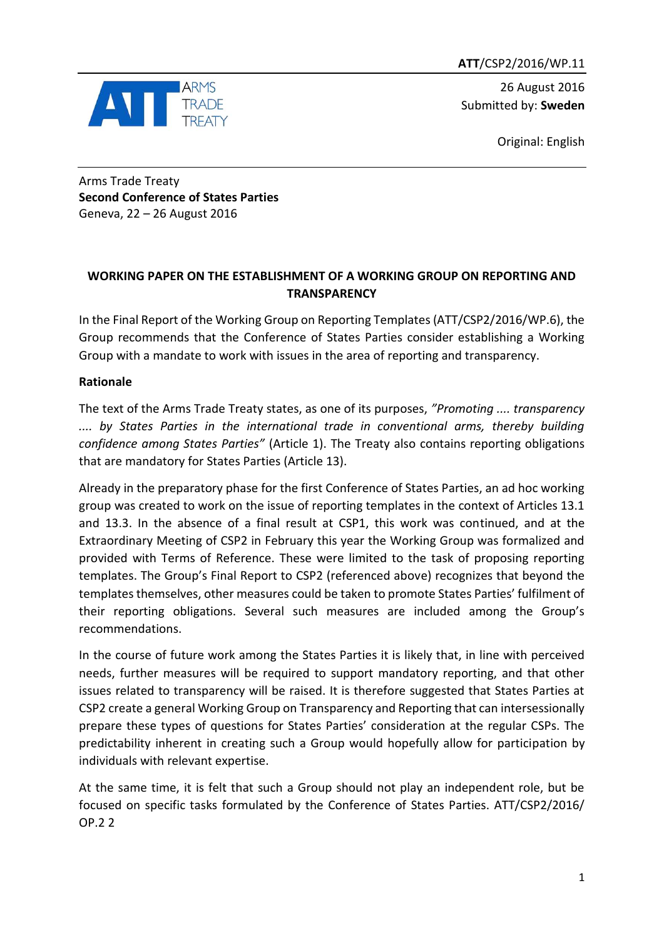**ATT**/CSP2/2016/WP.11



26 August 2016 Submitted by: **Sweden**

Original: English

Arms Trade Treaty **Second Conference of States Parties** Geneva, 22 – 26 August 2016

# **WORKING PAPER ON THE ESTABLISHMENT OF A WORKING GROUP ON REPORTING AND TRANSPARENCY**

In the Final Report of the Working Group on Reporting Templates (ATT/CSP2/2016/WP.6), the Group recommends that the Conference of States Parties consider establishing a Working Group with a mandate to work with issues in the area of reporting and transparency.

# **Rationale**

The text of the Arms Trade Treaty states, as one of its purposes, *"Promoting .... transparency .... by States Parties in the international trade in conventional arms, thereby building confidence among States Parties"* (Article 1). The Treaty also contains reporting obligations that are mandatory for States Parties (Article 13).

Already in the preparatory phase for the first Conference of States Parties, an ad hoc working group was created to work on the issue of reporting templates in the context of Articles 13.1 and 13.3. In the absence of a final result at CSP1, this work was continued, and at the Extraordinary Meeting of CSP2 in February this year the Working Group was formalized and provided with Terms of Reference. These were limited to the task of proposing reporting templates. The Group's Final Report to CSP2 (referenced above) recognizes that beyond the templates themselves, other measures could be taken to promote States Parties' fulfilment of their reporting obligations. Several such measures are included among the Group's recommendations.

In the course of future work among the States Parties it is likely that, in line with perceived needs, further measures will be required to support mandatory reporting, and that other issues related to transparency will be raised. It is therefore suggested that States Parties at CSP2 create a general Working Group on Transparency and Reporting that can intersessionally prepare these types of questions for States Parties' consideration at the regular CSPs. The predictability inherent in creating such a Group would hopefully allow for participation by individuals with relevant expertise.

At the same time, it is felt that such a Group should not play an independent role, but be focused on specific tasks formulated by the Conference of States Parties. ATT/CSP2/2016/ OP.2 2